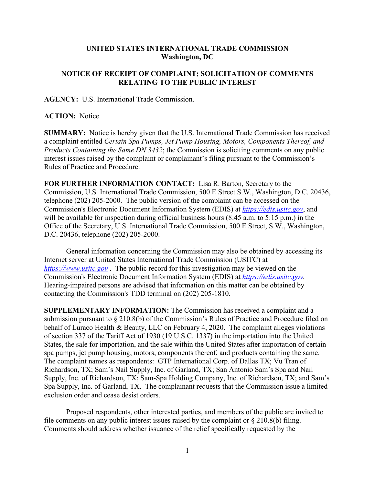## **UNITED STATES INTERNATIONAL TRADE COMMISSION Washington, DC**

## **NOTICE OF RECEIPT OF COMPLAINT; SOLICITATION OF COMMENTS RELATING TO THE PUBLIC INTEREST**

**AGENCY:** U.S. International Trade Commission.

## **ACTION:** Notice.

**SUMMARY:** Notice is hereby given that the U.S. International Trade Commission has received a complaint entitled *Certain Spa Pumps, Jet Pump Housing, Motors, Components Thereof, and Products Containing the Same DN 3432*; the Commission is soliciting comments on any public interest issues raised by the complaint or complainant's filing pursuant to the Commission's Rules of Practice and Procedure.

**FOR FURTHER INFORMATION CONTACT:** Lisa R. Barton, Secretary to the Commission, U.S. International Trade Commission, 500 E Street S.W., Washington, D.C. 20436, telephone (202) 205-2000. The public version of the complaint can be accessed on the Commission's Electronic Document Information System (EDIS) at *[https://edis.usitc.gov](https://edis.usitc.gov/)*, and will be available for inspection during official business hours (8:45 a.m. to 5:15 p.m.) in the Office of the Secretary, U.S. International Trade Commission, 500 E Street, S.W., Washington, D.C. 20436, telephone (202) 205-2000.

General information concerning the Commission may also be obtained by accessing its Internet server at United States International Trade Commission (USITC) at *[https://www.usitc.gov](https://www.usitc.gov/)* . The public record for this investigation may be viewed on the Commission's Electronic Document Information System (EDIS) at *[https://edis.usitc.gov.](https://edis.usitc.gov/)* Hearing-impaired persons are advised that information on this matter can be obtained by contacting the Commission's TDD terminal on (202) 205-1810.

**SUPPLEMENTARY INFORMATION:** The Commission has received a complaint and a submission pursuant to § 210.8(b) of the Commission's Rules of Practice and Procedure filed on behalf of Luraco Health & Beauty, LLC on February 4, 2020. The complaint alleges violations of section 337 of the Tariff Act of 1930 (19 U.S.C. 1337) in the importation into the United States, the sale for importation, and the sale within the United States after importation of certain spa pumps, jet pump housing, motors, components thereof, and products containing the same. The complaint names as respondents: GTP International Corp. of Dallas TX; Vu Tran of Richardson, TX; Sam's Nail Supply, Inc. of Garland, TX; San Antonio Sam's Spa and Nail Supply, Inc. of Richardson, TX; Sam-Spa Holding Company, Inc. of Richardson, TX; and Sam's Spa Supply, Inc. of Garland, TX. The complainant requests that the Commission issue a limited exclusion order and cease desist orders.

Proposed respondents, other interested parties, and members of the public are invited to file comments on any public interest issues raised by the complaint or  $\S 210.8(b)$  filing. Comments should address whether issuance of the relief specifically requested by the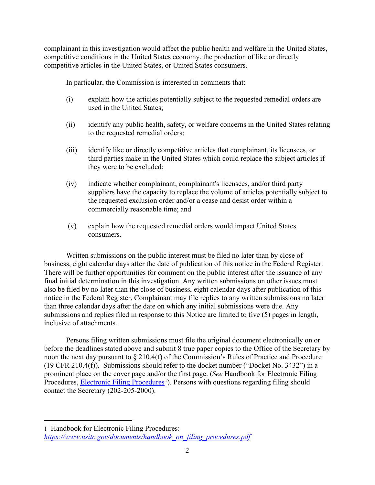complainant in this investigation would affect the public health and welfare in the United States, competitive conditions in the United States economy, the production of like or directly competitive articles in the United States, or United States consumers.

In particular, the Commission is interested in comments that:

- (i) explain how the articles potentially subject to the requested remedial orders are used in the United States;
- (ii) identify any public health, safety, or welfare concerns in the United States relating to the requested remedial orders;
- (iii) identify like or directly competitive articles that complainant, its licensees, or third parties make in the United States which could replace the subject articles if they were to be excluded;
- (iv) indicate whether complainant, complainant's licensees, and/or third party suppliers have the capacity to replace the volume of articles potentially subject to the requested exclusion order and/or a cease and desist order within a commercially reasonable time; and
- (v) explain how the requested remedial orders would impact United States consumers.

Written submissions on the public interest must be filed no later than by close of business, eight calendar days after the date of publication of this notice in the Federal Register. There will be further opportunities for comment on the public interest after the issuance of any final initial determination in this investigation. Any written submissions on other issues must also be filed by no later than the close of business, eight calendar days after publication of this notice in the Federal Register. Complainant may file replies to any written submissions no later than three calendar days after the date on which any initial submissions were due. Any submissions and replies filed in response to this Notice are limited to five (5) pages in length, inclusive of attachments.

Persons filing written submissions must file the original document electronically on or before the deadlines stated above and submit 8 true paper copies to the Office of the Secretary by noon the next day pursuant to § 210.4(f) of the Commission's Rules of Practice and Procedure (19 CFR 210.4(f)). Submissions should refer to the docket number ("Docket No. 3432") in a prominent place on the cover page and/or the first page. (*See* Handbook for Electronic Filing Procedures, **Electronic Filing Procedures**<sup>[1](#page-1-0)</sup>). Persons with questions regarding filing should contact the Secretary (202-205-2000).

<span id="page-1-0"></span><sup>1</sup> Handbook for Electronic Filing Procedures: *[https://www.usitc.gov/documents/handbook\\_on\\_filing\\_procedures.pdf](https://www.usitc.gov/documents/handbook_on_filing_procedures.pdf)*